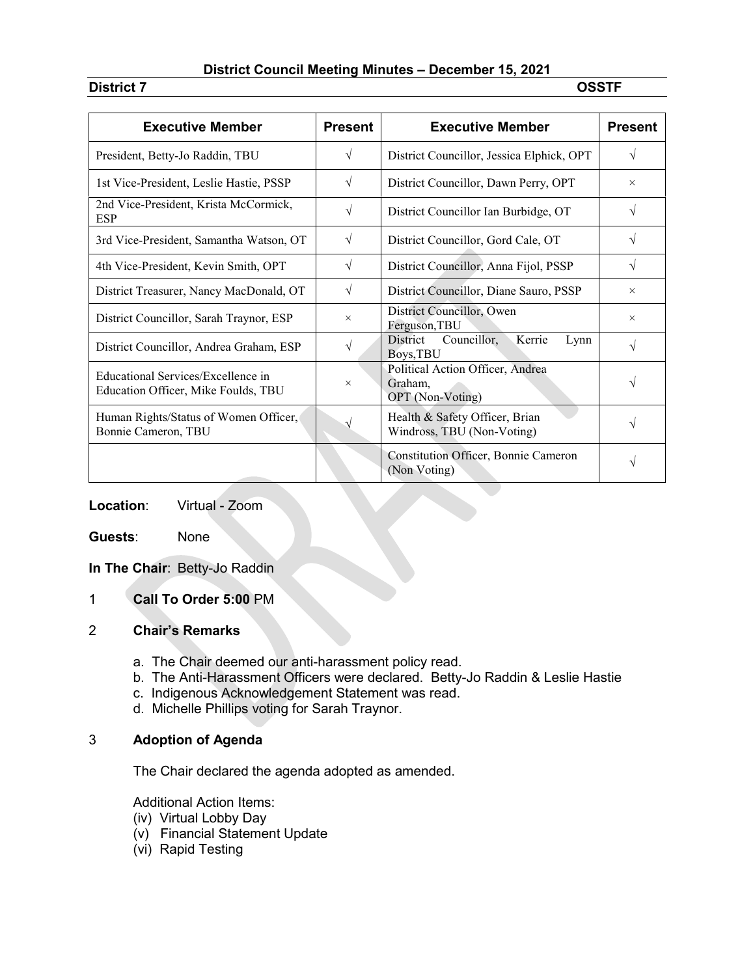# **District Council Meeting Minutes – December 15, 2021**

#### **District 7** OSSTF

| <b>Executive Member</b>                                                   | <b>Present</b> | <b>Executive Member</b>                                         | <b>Present</b> |
|---------------------------------------------------------------------------|----------------|-----------------------------------------------------------------|----------------|
| President, Betty-Jo Raddin, TBU                                           | V              | District Councillor, Jessica Elphick, OPT                       | V              |
| 1st Vice-President, Leslie Hastie, PSSP                                   | $\sqrt{}$      | District Councillor, Dawn Perry, OPT                            | $\times$       |
| 2nd Vice-President, Krista McCormick,<br><b>ESP</b>                       | V              | District Councillor Ian Burbidge, OT                            | V              |
| 3rd Vice-President, Samantha Watson, OT                                   | V              | District Councillor, Gord Cale, OT                              | V              |
| 4th Vice-President, Kevin Smith, OPT                                      | $\sqrt{}$      | District Councillor, Anna Fijol, PSSP                           | V              |
| District Treasurer, Nancy MacDonald, OT                                   | $\sqrt{}$      | District Councillor, Diane Sauro, PSSP                          | $\times$       |
| District Councillor, Sarah Traynor, ESP                                   | $\times$       | District Councillor, Owen<br>Ferguson, TBU                      | $\times$       |
| District Councillor, Andrea Graham, ESP                                   | V              | District<br>Councillor,<br>Kerrie<br>Lynn<br>Boys, TBU          | V              |
| Educational Services/Excellence in<br>Education Officer, Mike Foulds, TBU | $\times$       | Political Action Officer, Andrea<br>Graham,<br>OPT (Non-Voting) |                |
| Human Rights/Status of Women Officer,<br>Bonnie Cameron, TBU              |                | Health & Safety Officer, Brian<br>Windross, TBU (Non-Voting)    |                |
|                                                                           |                | Constitution Officer, Bonnie Cameron<br>(Non Voting)            |                |

**Location**: Virtual - Zoom

**Guests**: None

**In The Chair**: Betty-Jo Raddin

#### 1 **Call To Order 5:00** PM

## 2 **Chair's Remarks**

- a. The Chair deemed our anti-harassment policy read.
- b. The Anti-Harassment Officers were declared. Betty-Jo Raddin & Leslie Hastie
- c. Indigenous Acknowledgement Statement was read.
- d. Michelle Phillips voting for Sarah Traynor.

# 3 **Adoption of Agenda**

The Chair declared the agenda adopted as amended.

Additional Action Items:

- (iv) Virtual Lobby Day
- (v) Financial Statement Update
- (vi) Rapid Testing